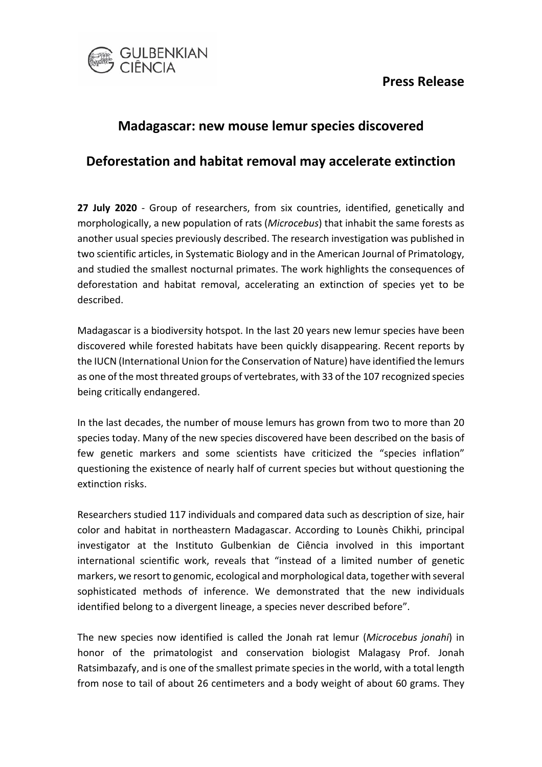### **Press Release**



# **Madagascar: new mouse lemur species discovered**

## **Deforestation and habitat removal may accelerate extinction**

**27 July 2020** - Group of researchers, from six countries, identified, genetically and morphologically, a new population of rats (*Microcebus*) that inhabit the same forests as another usual species previously described. The research investigation was published in two scientific articles, in Systematic Biology and in the American Journal of Primatology, and studied the smallest nocturnal primates. The work highlights the consequences of deforestation and habitat removal, accelerating an extinction of species yet to be described.

Madagascar is a biodiversity hotspot. In the last 20 years new lemur species have been discovered while forested habitats have been quickly disappearing. Recent reports by the IUCN (International Union for the Conservation of Nature) have identified the lemurs as one of the most threated groups of vertebrates, with 33 of the 107 recognized species being critically endangered.

In the last decades, the number of mouse lemurs has grown from two to more than 20 species today. Many of the new species discovered have been described on the basis of few genetic markers and some scientists have criticized the "species inflation" questioning the existence of nearly half of current species but without questioning the extinction risks.

Researchers studied 117 individuals and compared data such as description of size, hair color and habitat in northeastern Madagascar. According to Lounès Chikhi, principal investigator at the Instituto Gulbenkian de Ciência involved in this important international scientific work, reveals that "instead of a limited number of genetic markers, we resort to genomic, ecological and morphological data, together with several sophisticated methods of inference. We demonstrated that the new individuals identified belong to a divergent lineage, a species never described before".

The new species now identified is called the Jonah rat lemur (*Microcebus jonahi*) in honor of the primatologist and conservation biologist Malagasy Prof. Jonah Ratsimbazafy, and is one of the smallest primate species in the world, with a total length from nose to tail of about 26 centimeters and a body weight of about 60 grams. They